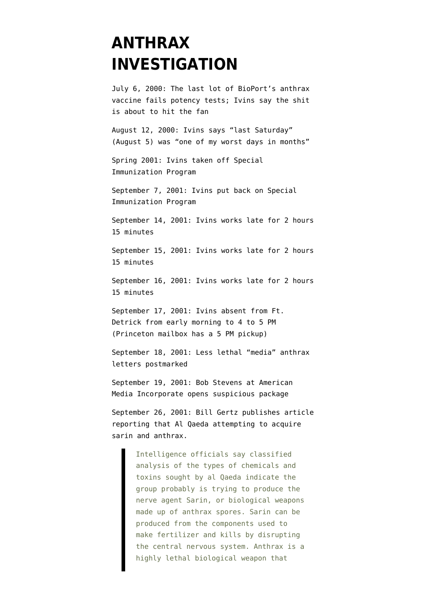## **[ANTHRAX](https://www.emptywheel.net/portfolio-item/anthrax-investigation-timeline/) [INVESTIGATION](https://www.emptywheel.net/portfolio-item/anthrax-investigation-timeline/)**

July 6, 2000: The last lot of BioPort's anthrax vaccine fails potency tests; Ivins say the shit is about to hit the fan

August 12, 2000: Ivins says "last Saturday" (August 5) was "one of my worst days in months"

Spring 2001: Ivins taken off Special Immunization Program

September 7, 2001: Ivins put back on Special Immunization Program

September 14, 2001: Ivins [works late](http://www.usdoj.gov/amerithrax/07-524-M-01%20attachment.pdf) for 2 hours 15 minutes

September 15, 2001: Ivins works late for 2 hours 15 minutes

September 16, 2001: Ivins works late for 2 hours 15 minutes

September 17, 2001: Ivins [absent](http://www.washingtonpost.com/wp-dyn/content/article/2008/08/07/AR2008080703443.html?sid=ST2008080703559&pos=) from Ft. Detrick from early morning to 4 to 5 PM (Princeton mailbox has a 5 PM pickup)

September 18, 2001: Less lethal "media" anthrax letters [postmarked](http://www.anthraxinvestigation.com/index.html#Timeline)

September 19, 2001: Bob Stevens at American Media Incorporate opens suspicious package

September 26, 2001: Bill Gertz [publishes](http://www.mail-archive.com/ctrl@listserv.aol.com/msg78325.html) article reporting that Al Qaeda attempting to acquire sarin and anthrax.

> Intelligence officials say classified analysis of the types of chemicals and toxins sought by al Qaeda indicate the group probably is trying to produce the nerve agent Sarin, or biological weapons made up of anthrax spores. Sarin can be produced from the components used to make fertilizer and kills by disrupting the central nervous system. Anthrax is a highly lethal biological weapon that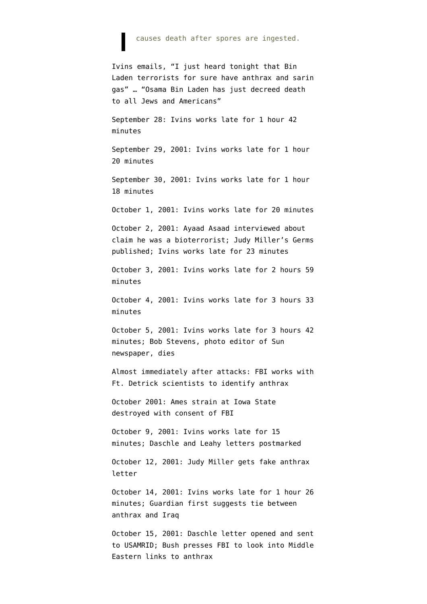## causes death after spores are ingested.

Ivins emails, "I just heard tonight that Bin Laden terrorists for sure have anthrax and sarin gas" … "Osama Bin Laden has just decreed death to all Jews and Americans"

September 28: Ivins works late for 1 hour 42 minutes

September 29, 2001: Ivins works late for 1 hour 20 minutes

September 30, 2001: Ivins works late for 1 hour 18 minutes

October 1, 2001: Ivins works late for 20 minutes

October 2, 2001: Ayaad Asaad [interviewed](http://archive.salon.com/news/feature/2002/01/26/assaad/print.html) about claim he was a bioterrorist; Judy Miller's Germs published; Ivins works late for 23 minutes

October 3, 2001: Ivins works late for 2 hours 59 minutes

October 4, 2001: Ivins works late for 3 hours 33 minutes

October 5, 2001: Ivins works late for 3 hours 42 minutes; Bob Stevens, photo editor of Sun newspaper, [dies](http://www.anthraxinvestigation.com/index.html#Timeline)

Almost immediately after attacks: FBI works with Ft. Detrick scientists to identify anthrax

October 2001: Ames strain at Iowa State destroyed with consent of FBI

October 9, 2001: Ivins works late for 15 minutes; Daschle and Leahy letters [postmarked](http://www.anthraxinvestigation.com/index.html#Timeline)

October 12, 2001: Judy Miller gets fake anthrax letter

October 14, 2001: Ivins works late for 1 hour 26 minutes; Guardian first [suggests](http://rawstory.com/news/2008/Suicide_raises_questions_about_attempts_to_0801.html) tie between anthrax and Iraq

October 15, 2001: Daschle letter opened and sent to USAMRID; Bush [presses](http://www.nydailynews.com/news/us_world/2008/08/02/2008-08-02_fbi_was_told_to_blame_anthrax_scare_on_a.html) FBI to look into Middle Eastern links to anthrax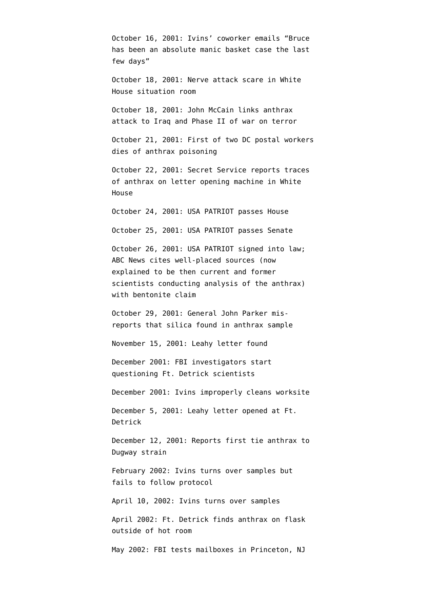October 16, 2001: Ivins' coworker emails "Bruce has been an absolute manic basket case the last few days"

October 18, 2001: Nerve attack scare in White House situation room

October 18, 2001: John McCain [links](http://thinkprogress.org/2008/08/01/mccain-anthrax-iraq/) anthrax attack to Iraq and Phase II of war on terror

October 21, 2001: First of two DC postal workers [dies](http://www.anthraxinvestigation.com/index.html#Timeline) of anthrax poisoning

October 22, 2001: Secret Service reports traces of anthrax on letter opening machine in White House

October 24, 2001: USA PATRIOT passes House

October 25, 2001: USA PATRIOT passes Senate

October 26, 2001: USA PATRIOT signed into law; ABC News [cites](http://www.mediabistro.com/tvnewser/abc/ross_responds_to_vital_questions_about_anthrax_report_90768.asp) well-placed sources (now explained to be then current and former scientists conducting analysis of the anthrax) with bentonite claim

October 29, 2001: General John Parker [mis](http://pubs.acs.org/cen/government/84/8449gov1.html)[reports](http://pubs.acs.org/cen/government/84/8449gov1.html) that silica found in anthrax sample

November 15, 2001: Leahy letter found

December 2001: FBI investigators start questioning Ft. Detrick scientists

December 2001: Ivins improperly cleans worksite

December 5, 2001: Leahy letter [opened](http://pubs.acs.org/cen/government/84/8449gov1.html) at Ft. Detrick

December 12, 2001: Reports first [tie](http://pubs.acs.org/cen/government/84/8449gov1.html) anthrax to Dugway strain

February 2002: Ivins turns over samples but fails to follow protocol

April 10, 2002: Ivins turns over samples

April 2002: Ft. Detrick [finds](http://online.wsj.com/public/article/SB121824122279026121-jvAl3N_9OfFg_bE9oMrQZtepAPU_20080907.html?mod=tff_main_tff_top) anthrax on flask outside of hot room

May 2002: FBI [tests](http://www.nytimes.com/2008/08/04/us/04anthrax.html?pagewanted=2&hp) mailboxes in Princeton, NJ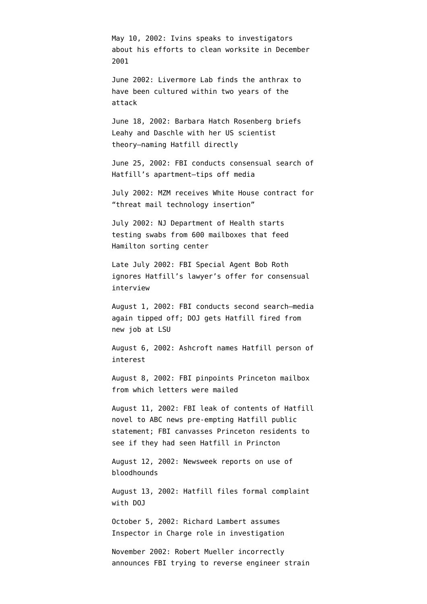May 10, 2002: Ivins speaks to investigators about his efforts to clean worksite in December 2001

June 2002: Livermore Lab [finds](http://www.washingtonpost.com/wp-dyn/content/article/2008/08/07/AR2008080703443_2.html?sid=ST2008080703559&pos=) the anthrax to have been cultured within two years of the attack

June 18, 2002: Barbara Hatch Rosenberg [briefs](http://emptywheel.firedoglake.com/files/28/files//2008/08/030826-initial-hatfill-complaint.pdf) Leahy and Daschle with her US scientist theory–naming Hatfill directly

June 25, 2002: FBI [conducts](http://emptywheel.firedoglake.com/files/28/files//2008/08/030826-initial-hatfill-complaint.pdf) consensual search of Hatfill's apartment–tips off media

July 2002: MZM [receives](http://thenexthurrah.typepad.com/the_next_hurrah/2007/04/domestic_spying.html) White House contract for "threat mail technology insertion"

July 2002: NJ Department of Health [starts](http://query.nytimes.com/gst/fullpage.html?res=9B02E5D61E3AF937A2575BC0A9649C8B63) testing swabs from 600 mailboxes that feed Hamilton sorting center

Late July 2002: FBI Special Agent Bob Roth [ignores](http://emptywheel.firedoglake.com/files/28/files//2008/08/030826-initial-hatfill-complaint.pdf) Hatfill's lawyer's offer for consensual interview

August 1, 2002: FBI [conducts](http://emptywheel.firedoglake.com/files/28/files//2008/08/030826-initial-hatfill-complaint.pdf) second search–media again tipped off; DOJ gets Hatfill fired from new job at LSU

August 6, 2002: Ashcroft [names](http://emptywheel.firedoglake.com/files/28/files//2008/08/030826-initial-hatfill-complaint.pdf) Hatfill person of interest

August 8, 2002: FBI [pinpoints](http://query.nytimes.com/gst/fullpage.html?res=9B02E5D61E3AF937A2575BC0A9649C8B63) Princeton mailbox from which letters were mailed

August 11, 2002: FBI [leak of contents](http://emptywheel.firedoglake.com/files/28/files//2008/08/030826-initial-hatfill-complaint.pdf) of Hatfill novel to ABC news pre-empting Hatfill public statement; FBI canvasses Princeton residents to see if they had seen Hatfill in Princton

August 12, 2002: Newsweek [reports](http://emptywheel.firedoglake.com/files/28/files//2008/08/030826-initial-hatfill-complaint.pdf) on use of bloodhounds

August 13, 2002: Hatfill files formal complaint with DOJ

October 5, 2002: Richard Lambert [assumes](http://emptywheel.firedoglake.com/wp-admin/upload.php?style=inline&tab=browse&action=view&ID=2530&post_id=2528#) Inspector in Charge role in investigation

November 2002: Robert Mueller incorrectly [announces](http://pubs.acs.org/cen/government/84/8449gov1.html) FBI trying to reverse engineer strain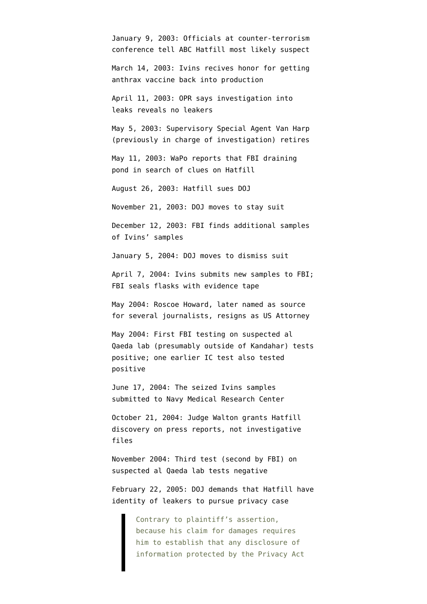January 9, 2003: Officials at counter-terrorism conference [tell ABC](http://emptywheel.firedoglake.com/files/28/files//2008/08/030826-initial-hatfill-complaint.pdf) Hatfill most likely suspect

March 14, 2003: Ivins recives honor for getting anthrax vaccine back into production

April 11, 2003: OPR [says](http://static1.firedoglake.com/28/files/2008/08/030826-Initial-Hatfill-Complaint.pdf) investigation into leaks reveals no leakers

May 5, 2003: Supervisory Special Agent Van Harp (previously in charge of investigation) [retires](http://emptywheel.firedoglake.com/files/28/files//2008/08/030826-initial-hatfill-complaint.pdf)

May 11, 2003: WaPo [reports](http://emptywheel.firedoglake.com/files/28/files//2008/08/030826-initial-hatfill-complaint.pdf) that FBI draining pond in search of clues on Hatfill

August 26, 2003: Hatfill [sues](http://emptywheel.firedoglake.com/files/28/files//2008/08/030826-initial-hatfill-complaint.pdf) DOJ

November 21, 2003: DOJ moves to stay suit

December 12, 2003: FBI finds additional samples of Ivins' samples

January 5, 2004: DOJ moves to dismiss suit

April 7, 2004: Ivins submits new samples to FBI; FBI seals flasks with evidence tape

May 2004: Roscoe Howard, later named as source for several journalists, resigns as US Attorney

May 2004: [First FBI testing](http://static1.firedoglake.com/28/files/2008/08/110215-NAS-Anthrax-Science-Report.pdf) on suspected al Qaeda lab (presumably outside of Kandahar) tests positive; one earlier IC test also tested positive

June 17, 2004: The seized Ivins samples submitted to Navy Medical Research Center

October 21, 2004: Judge Walton grants Hatfill discovery on press reports, not investigative files

November 2004: Third test (second by FBI) on suspected al Qaeda lab tests negative

February 22, 2005: DOJ [demands](http://emptywheel.firedoglake.com/files/28/files//2008/08/050222-brief-on-sources.pdf) that Hatfill have identity of leakers to pursue privacy case

> Contrary to plaintiff's assertion, because his claim for damages requires him to establish that any disclosure of information protected by the Privacy Act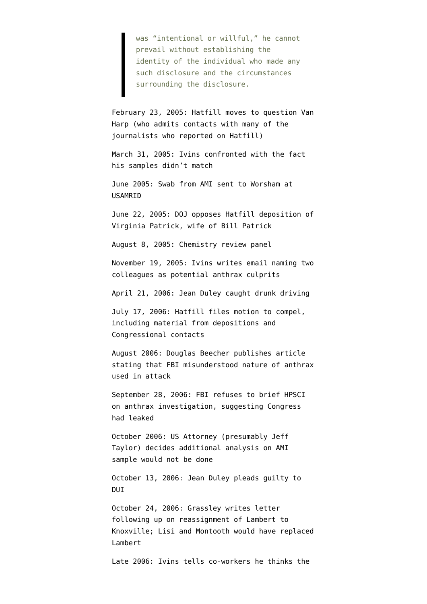was "intentional or willful," he cannot prevail without establishing the identity of the individual who made any such disclosure and the circumstances surrounding the disclosure.

February 23, 2005: Hatfill [moves](http://emptywheel.firedoglake.com/files/28/files//2008/08/050223-motion-to-question-van-harp.pdf) to question Van Harp (who admits contacts with many of the journalists who reported on Hatfill)

March 31, 2005: Ivins confronted with the fact his samples didn't match

June 2005: Swab from AMI [sent](http://static1.firedoglake.com/28/files/2008/08/110215-NAS-Anthrax-Science-Report.pdf) to Worsham at **USAMRID** 

June 22, 2005: DOJ [opposes](http://emptywheel.firedoglake.com/files/28/files//2008/08/050622-doj-opposition-to-deposition-of-virginia-patrick.pdf) Hatfill deposition of Virginia Patrick, wife of Bill Patrick

August 8, 2005: Chemistry review panel

November 19, 2005: Ivins [writes](http://www.usdoj.gov/amerithrax/08-082-M-01%20search%20warrant%20affidavit.pdf) email naming two colleagues as potential anthrax culprits

April 21, 2006: Jean Duley [caught](http://casesearch.courts.state.md.us/inquiry/inquiryDetail.jis?caseId=10K06040185&loc=67&detailLoc=K) drunk driving

July 17, 2006: Hatfill files motion to compel, including material from depositions and Congressional contacts

August 2006: Douglas Beecher [publishes](http://pubs.acs.org/cen/government/84/8449gov1.html) article stating that FBI misunderstood nature of anthrax used in attack

September 28, 2006: FBI refuses to brief HPSCI on anthrax investigation, suggesting Congress had leaked

October 2006: US Attorney (presumably Jeff Taylor) [decides](http://static1.firedoglake.com/28/files/2008/08/110215-NAS-Anthrax-Science-Report.pdf) additional analysis on AMI sample would not be done

October 13, 2006: Jean Duley [pleads guilty](http://casesearch.courts.state.md.us/inquiry/inquiryDetail.jis?caseId=10K06040185&loc=67&detailLoc=K) to DUI

October 24, 2006: Grassley [writes](http://msnbcmedia.msn.com/i/msnbc/sections/news/061024_grassley_anthrax_letter.pdf) letter following up on reassignment of Lambert to Knoxville; Lisi and Montooth would have replaced Lambert

Late 2006: Ivins [tells](http://online.wsj.com/public/article/SB121824122279026121-jvAl3N_9OfFg_bE9oMrQZtepAPU_20080907.html?mod=tff_main_tff_top) co-workers he thinks the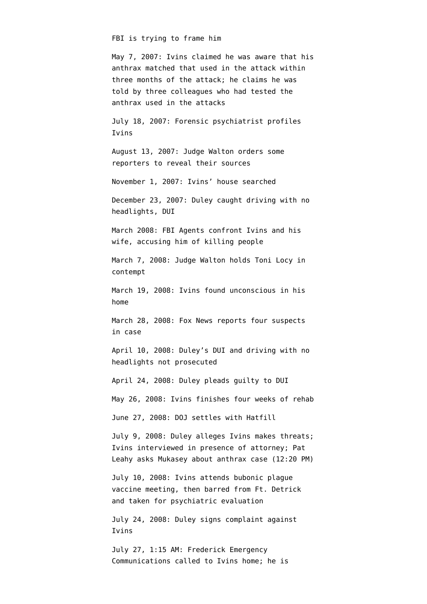## FBI is trying to frame him

May 7, 2007: Ivins claimed he was aware that his anthrax matched that used in the attack within three months of the attack; he claims he was told by three colleagues who had tested the anthrax used in the attacks

July 18, 2007: Forensic psychiatrist profiles Ivins

August 13, 2007: Judge Walton orders some reporters to reveal their sources

November 1, 2007: Ivins' house [searched](http://www.nytimes.com/2008/08/04/us/04anthrax.html?pagewanted=2&hp)

December 23, 2007: Duley [caught](http://casesearch.courts.state.md.us/inquiry/inquiryDetail.jis?caseId=000000FB36664&loc=38&detailLoc=DSTRAF) driving with no headlights, DUI

March 2008: FBI Agents [confront](http://www.washingtonpost.com/wp-dyn/content/article/2008/08/05/AR2008080503747_2.html?hpid=topnews&sid=ST2008080503796&pos=) Ivins and his wife, accusing him of killing people

March 7, 2008: Judge Walton holds Toni Locy in contempt

March 19, 2008: Ivins [found](http://www.washingtonpost.com/wp-dyn/content/article/2008/08/05/AR2008080503747_2.html?hpid=topnews&sid=ST2008080503796&pos=) unconscious in his home

March 28, 2008: Fox News [reports](http://www.foxnews.com/story/0,2933,342852,00.html) four suspects in case

April 10, 2008: Duley's DUI and driving with no headlights [not prosecuted](http://casesearch.courts.state.md.us/inquiry/inquiryDetail.jis?caseId=000000FB36661&loc=38&detailLoc=DSTRAF)

April 24, 2008: Duley [pleads guilty](http://casesearch.courts.state.md.us/inquiry/inquiryDetail.jis?caseId=000000FB36662&loc=38&detailLoc=DSTRAF) to DUI

May 26, 2008: Ivins [finishes](http://www.washingtonpost.com/wp-dyn/content/article/2008/08/05/AR2008080503747_2.html?hpid=topnews&sid=ST2008080503796&pos=) four weeks of rehab

June 27, 2008: DOJ [settles](http://emptywheel.firedoglake.com/files/28/files//2008/08/080627-hatfill-settlement.pdf) with Hatfill

July 9, 2008: Duley [alleges](http://www.thesmokinggun.com/archive/years/2008/0801081anthrax1.html) Ivins makes threats; Ivins [interviewed](http://www.usdoj.gov/amerithrax/08-429Affidavit.pdf) in presence of attorney; Pat Leahy [asks](http://emptywheel.firedoglake.com/2008/07/10/yeah-what-about-that-anthrax-terrorist/) Mukasey about anthrax case (12:20 PM)

July 10, 2008: Ivins [attends](http://www.washingtonpost.com/wp-dyn/content/article/2008/08/03/AR2008080301819.html?hpid=moreheadlines) bubonic plague vaccine meeting, then barred from Ft. Detrick and taken for psychiatric evaluation

July 24, 2008: Duley [signs complaint](http://www.thesmokinggun.com/archive/years/2008/0801081anthrax1.html) against Ivins

July 27, 1:15 AM: Frederick Emergency Communications [called](http://www.fredericknewspost.com/sections/news/display.htm?storyID=78270) to Ivins home; he is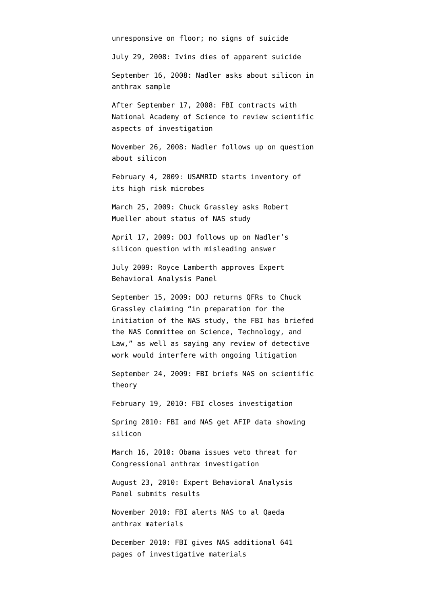unresponsive on floor; no signs of suicide

July 29, 2008: Ivins dies of apparent suicide

September 16, 2008: Nadler [asks](http://emptywheel.firedoglake.com/2011/05/25/nadler-wants-to-know-why-fbi-lied-to-him-about-anthrax/) about silicon in anthrax sample

After September 17, 2008: FBI [contracts](http://static1.firedoglake.com/28/files/2008/08/110215-NAS-Anthrax-Science-Report.pdf) with National Academy of Science to review scientific aspects of investigation

November 26, 2008: Nadler [follows up](http://emptywheel.firedoglake.com/2011/05/25/nadler-wants-to-know-why-fbi-lied-to-him-about-anthrax/) on question about silicon

February 4, 2009: USAMRID [starts](http://blogs.sciencemag.org/scienceinsider/2009/02/us-army-lab-fre-1.html) inventory of its high risk microbes

March 25, 2009: Chuck Grassley [asks](http://www.fas.org/irp/congress/2009_hr/fbi-qfr.pdf) Robert Mueller about status of NAS study

April 17, 2009: DOJ [follows up](http://emptywheel.firedoglake.com/2011/05/25/nadler-wants-to-know-why-fbi-lied-to-him-about-anthrax/) on Nadler's silicon question with misleading answer

July 2009: Royce Lamberth [approves](http://static1.firedoglake.com/28/files/2008/08/100823-EBAP_Report_ExSum_Redacted_Version1.pdf) Expert Behavioral Analysis Panel

September 15, 2009: DOJ [returns](http://www.fas.org/irp/congress/2009_hr/fbi-qfr.pdf) QFRs to Chuck Grassley claiming "in preparation for the initiation of the NAS study, the FBI has briefed the NAS Committee on Science, Technology, and Law," as well as saying any review of detective work would interfere with ongoing litigation

September 24, 2009: FBI briefs NAS on scientific theory

February 19, 2010: FBI closes investigation

Spring 2010: FBI and NAS get AFIP data showing silicon

March 16, 2010: Obama [issues](http://emptywheel.firedoglake.com/2010/03/16/would-obama-issue-first-veto-to-protect-anthrax-whitewash/) veto threat for Congressional anthrax investigation

August 23, 2010: Expert Behavioral Analysis Panel [submits](http://static1.firedoglake.com/28/files/2008/08/100823-EBAP_Report_ExSum_Redacted_Version1.pdf) results

November 2010: FBI alerts NAS to al Qaeda anthrax materials

December 2010: FBI gives NAS additional 641 pages of investigative materials